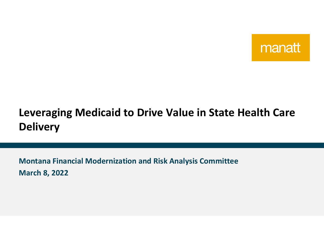

# **Leveraging Medicaid to Drive Value in State Health Care Delivery**

**Montana Financial Modernization and Risk Analysis Committee March 8, 2022**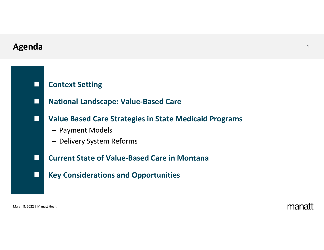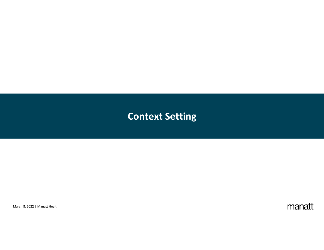## **Context Setting**

March 8, 2022 | Manatt Health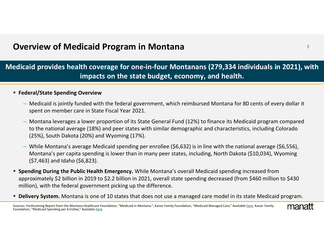## **Overview of Medicaid Program** <sup>3</sup> **in Montana**

### **Medicaid provides health coverage for one‐in‐four Montanans (279,334 individuals in 2021), with impacts on the state budget, economy, and health.**

#### **Federal/State Spending Overview**

- Medicaid is jointly funded with the federal government, which reimbursed Montana for 80 cents of every dollar it spent on member care in State Fiscal Year 2021.
- Montana leverages <sup>a</sup> lower proportion of its State General Fund (12%) to finance its Medicaid program compared to the national average (18%) and peer states with similar demographic and characteristics, including Colorado (25%), South Dakota (20%) and Wyoming (17%).
- While Montana's average Medicaid spending per enrollee (\$6,632) is in line with the national average (\$6,556), Montana's per capita spending is lower than in many peer states, including, North Dakota (\$10,034), Wyoming (\$7,463) and Idaho (\$6,823).
- **Spending During the Public Health Emergency.** While Montana's overall Medicaid spending increased from approximately \$2 billion in 2019 to \$2.2 billion in 2021, overall state spending decreased (from \$460 million to \$430 million), with the federal government picking up the difference.
- **Delivery System.** Montana is one of 10 states that does not use <sup>a</sup> managed care model in its state Medicaid program.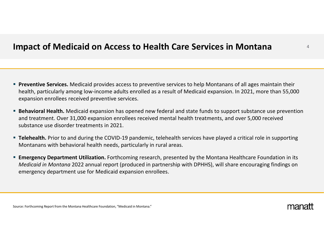### **Impact of Medicaid on Access to Health Care Services in Montana**

- **Preventive Services.** Medicaid provides access to preventive services to help Montanans of all ages maintain their health, particularly among low-income adults enrolled as a result of Medicaid expansion. In 2021, more than 55,000 expansion enrollees received preventive services.
- **Behavioral Health.** Medicaid expansion has opened new federal and state funds to support substance use prevention and treatment. Over 31,000 expansion enrollees received mental health treatments, and over 5,000 received substance use disorder treatments in 2021.
- Telehealth. Prior to and during the COVID-19 pandemic, telehealth services have played a critical role in supporting Montanans with behavioral health needs, particularly in rural areas.
- **Emergency Department Utilization.** Forthcoming research, presented by the Montana Healthcare Foundation in its *Medicaid in Montana* 2022 annual report (produced in partnership with DPHHS), will share encouraging findings on emergency department use for Medicaid expansion enrollees.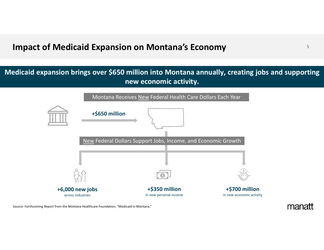## **Impact of Medicaid Expansion on Montana's Economy**

### **Medicaid expansion brings over \$650 million into Montana annually, creating jobs and supporting new economic activity.**



Source: Forthcoming Report from the Montana Healthcare Foundation, "Medicaid in Montana."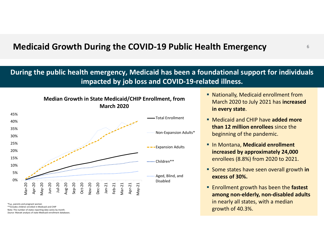## **Medicaid Growth During the COVID‐19 Public Health Emergency**

### **During the public health emergency, Medicaid has been <sup>a</sup> foundational support for individuals impacted by job loss and COVID‐19‐related illness.**



\*E.g., parents and pregnant women

\*\*Includes children enrolled in Medicaid and CHIP Note: The number of states reporting data varies by month.

*Source:* Manatt analysis of state Medicaid enrollment databases.

- Nationally, Medicaid enrollment from March 2020 to July 2021 has **increased in every state**.
- Medicaid and CHIP have **added more than 12 million enrollees** since the beginning of the pandemic.
- In Montana, **Medicaid enrollment increased by approximately 24,000** enrollees (8.8%) from 2020 to 2021.
- Some states have seen overall growth **in excess of 30%.**
- Enrollment growth has been the **fastest among non‐elderly, non‐disabled adults** in nearly all states, with <sup>a</sup> median growth of 40.3%.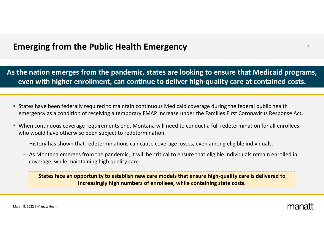## **Emerging** <sup>7</sup> **from the Public Health Emergency**

**As the nation emerges from the pandemic, states are looking to ensure that Medicaid programs, even with higher enrollment, can continue to deliver high‐quality care at contained costs.**

- States have been federally required to maintain continuous Medicaid coverage during the federal public health emergency as <sup>a</sup> condition of receiving <sup>a</sup> temporary FMAP increase under the Families First Coronavirus Response Act.
- When continuous coverage requirements end, Montana will need to conduct <sup>a</sup> full redetermination for all enrollees who would have otherwise been subject to redetermination.
	- History has shown that redeterminations can cause coverage losses, even among eligible individuals.
	- As Montana emerges from the pandemic, it will be critical to ensure that eligible individuals remain enrolled in coverage, while maintaining high quality care.

States face an opportunity to establish new care models that ensure high-quality care is delivered to **increasingly high numbers of enrollees, while containing state costs.**

March 8, 2022 | Manatt Health

manai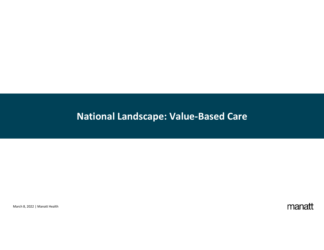# **National Landscape: Value‐Based Care**

March 8, 2022 | Manatt Health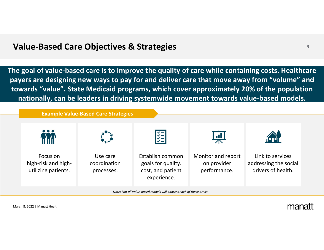### **Value** <sup>9</sup> **‐Based Care Objectives & Strategies**

**The goal of value‐based care is to improve the quality of care while containing costs. Healthcare payers are designing new ways to pay for and deliver care that move away from "volume" and towards "value". State Medicaid programs, which cover approximately 20% of the population nationally, can be leaders in driving systemwide movement towards value‐based models.**

**Example Value‐Based Care Strategies**



March 8, 2022 | Manatt Health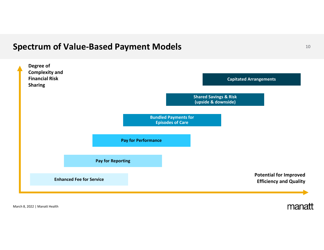## **Spectrum of Value-Based Payment Models Department of Value-Based Payment Models**



March 8, 2022 | Manatt Health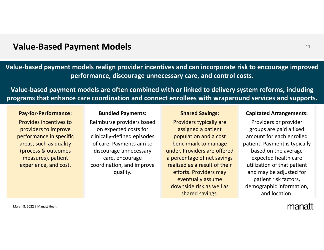### **Value** <sup>11</sup> **‐Based Payment Models**

**Value‐based payment models realign provider incentives and can incorporate risk to encourage improved performance, discourage unnecessary care, and control costs.**

**Value‐based payment models are often combined with or linked to delivery system reforms, including programs that enhance care coordination and connect enrollees with wraparound services and supports.**

#### **Pay‐for‐Performance:**

Provides incentives toproviders to improve performance in specific areas, such as quality (process & outcomes measures), patient experience, and cost.

#### **Bundled Payments:**

Reimburse providers based on expected costs for clinically‐defined episodes of care. Payments aim to discourage unnecessary care, encourage coordination, and improve quality.

#### **Shared Savings:**

Providers typically are assigned <sup>a</sup> patient population and <sup>a</sup> cost benchmark to manage under. Providers are offereda percentage of net savings realized as <sup>a</sup> result of their efforts. Providers may eventually assume downside risk as well as shared savings.

#### **Capitated Arrangements:**

Providers or provider groups are paid <sup>a</sup> fixed amount for each enrolled patient. Payment is typically based on the average expected health care utilization of that patient and may be adjusted for patient risk factors, demographic information, and location.

March 8, 2022 | Manatt Health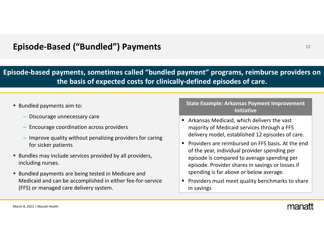## **Episode** <sup>12</sup> **‐Based ("Bundled") Payments**

**Episode‐based payments, sometimes called "bundled payment" programs, reimburse providers on the basis of expected costs for clinically‐defined episodes of care.**

- **Bundled payments aim to:** 
	- Discourage unnecessary care
	- Encourage coordination across providers
	- Improve quality without penalizing providers for caring for sicker patients
- **Bundles may include services provided by all providers,** including nurses.
- **Bundled payments are being tested in Medicare and** Medicaid and can be accomplished in either fee‐for‐service (FFS) or managed care delivery system.

#### **State Example: Arkansas Payment Improvement Initiative**

- Arkansas Medicaid, which delivers the vast majority of Medicaid services through <sup>a</sup> FFS delivery model, established 12 episodes of care.
- **Providers are reimbursed on FFS basis. At the end** of the year, individual provider spending per episode is compared to average spending per episode. Provider shares in savings or losses if spending is far above or below average.
- п Providers must meet quality benchmarks to share in savings

March 8, 2022 | Manatt Health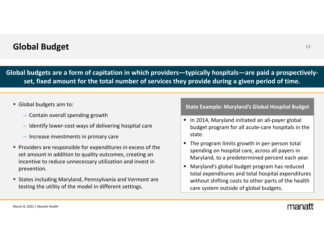## **Global Budget** <sup>13</sup>

**Global budgets are <sup>a</sup> form of capitation in which providers—typically hospitals—are paid <sup>a</sup> prospectively‐ set, fixed amount for the total number of services they provide during <sup>a</sup> given period of time.**

#### Global budgets aim to:

- Contain overall spending growth
- Identify lower‐cost ways of delivering hospital care
- Increase investments in primary care
- **Providers are responsible for expenditures in excess of the** set amount in addition to quality outcomes, creating an incentive to reduce unnecessary utilization and invest in prevention.
- States including Maryland, Pennsylvania and Vermont are testing the utility of the model in different settings.

#### **State Example: Maryland's Global Hospital Budget**

- In 2014, Maryland initiated an all-payer global budget program for all acute‐care hospitals in the state.
- $\blacksquare$ ■ The program limits growth in per-person total spending on hospital care, across all payers in Maryland, to <sup>a</sup> predetermined percent each year.
- $\blacksquare$  Maryland's global budget program has reduced total expenditures and total hospital expenditures without shifting costs to other parts of the health care system outside of global budgets.

March 8, 2022 | Manatt Health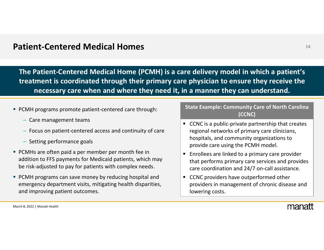### **Patient** <sup>14</sup> **‐Centered Medical Homes**

**The Patient‐Centered Medical Home (PCMH) is <sup>a</sup> care delivery model in which <sup>a</sup> patient's treatment is coordinated through their primary care physician to ensure they receive the necessary care when and where they need it, in <sup>a</sup> manner they can understand.**

- PCMH programs promote patient-centered care through:
	- Care management teams
	- Focus on patient‐centered access and continuity of care
	- Setting performance goals
- PCMHs are often paid <sup>a</sup> per member per month fee in addition to FFS payments for Medicaid patients, which may be risk‐adjusted to pay for patients with complex needs.
- PCMH programs can save money by reducing hospital and emergency department visits, mitigating health disparities, and improving patient outcomes.

#### **State Example: Community Care of North Carolina (CCNC)**

- CCNC is a public-private partnership that creates regional networks of primary care clinicians, hospitals, and community organizations to provide care using the PCMH model.
- **Enrollees are linked to a primary care provider** that performs primary care services and provides care coordination and 24/7 on‐call assistance.
- $\blacksquare$ ■ CCNC providers have outperformed other providers in management of chronic disease and lowering costs.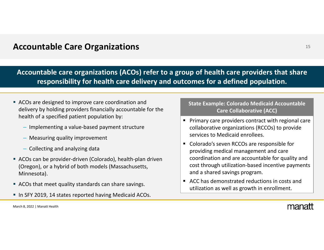## **Accountable Care Organizations** <sup>15</sup>

**Accountable care organizations (ACOs) refer to <sup>a</sup> group of health care providers that share responsibility for health care delivery and outcomes for <sup>a</sup> defined population.**

- ACOs are designed to improve care coordination and delivery by holding providers financially accountable for the health of <sup>a</sup> specified patient population by:
	- Implementing <sup>a</sup> value‐based payment structure
	- Measuring quality improvement
	- Collecting and analyzing data
- ACOs can be provider-driven (Colorado), health-plan driven (Oregon), or <sup>a</sup> hybrid of both models (Massachusetts, Minnesota).
- ACOs that meet quality standards can share savings.
- **In SFY 2019, 14 states reported having Medicaid ACOs.**

#### **State Example: Colorado Medicaid Accountable Care Collaborative (ACC)**

- Primary care providers contract with regional care collaborative organizations (RCCOs) to provide services to Medicaid enrollees.
- Colorado's seven RCCOs are responsible for providing medical management and care coordination and are accountable for quality and cost through utilization‐based incentive payments and <sup>a</sup> shared savings program.
- ACC has demonstrated reductions in costs and utilization as well as growth in enrollment.

March 8, 2022 | Manatt Health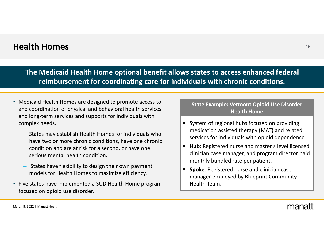### **Health Homes** <sup>16</sup>

**The Medicaid Health Home optional benefit allows states to access enhanced federal reimbursement for coordinating care for individuals with chronic conditions.**

- Medicaid Health Homes are designed to promote access to and coordination of physical and behavioral health services and long‐term services and supports for individuals with complex needs.
	- States may establish Health Homes for individuals who have two or more chronic conditions, have one chronic condition and are at risk for <sup>a</sup> second, or have one serious mental health condition.
	- States have flexibility to design their own payment models for Health Homes to maximize efficiency.
- **Five states have implemented a SUD Health Home program** focused on opioid use disorder.

#### **State Example: Vermont Opioid Use Disorder Health Home**

- System of regional hubs focused on providing medication assisted therapy (MAT) and related services for individuals with opioid dependence.
- $\blacksquare$  **Hub**: Registered nurse and master's level licensed clinician case manager, and program director paid monthly bundled rate per patient.
- $\blacksquare$  **Spoke**: Registered nurse and clinician case manager employed by Blueprint Community Health Team.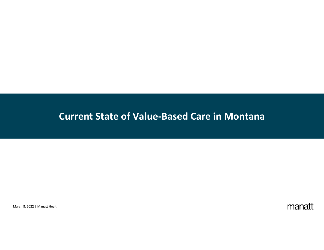## **Current State of Value‐Based Care in Montana**

March 8, 2022 | Manatt Health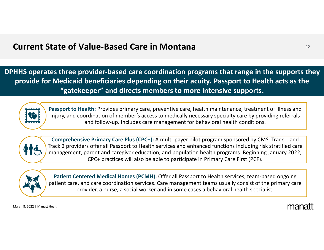## **Current State of Value** <sup>18</sup> **‐Based Care in Montana**

**DPHHS operates three provider‐based care coordination programs that range in the supports they provide for Medicaid beneficiaries depending on their acuity. Passport to Health acts as the "gatekeeper" and directs members to more intensive supports.**



**Passport to Health:** Provides primary care, preventive care, health maintenance, treatment of illness and injury, and coordination of member's access to medically necessary specialty care by providing referrals and follow‐up. Includes care management for behavioral health conditions.



**Comprehensive Primary Care Plus (CPC+):** A multi‐payer pilot program sponsored by CMS. Track 1 and Track 2 providers offer all Passport to Health services and enhanced functions including risk stratified care management, parent and caregiver education, and population health programs. Beginning January 2022, CPC+ practices will also be able to participate in Primary Care First (PCF).



**Patient Centered Medical Homes (PCMH):** Offer all Passport to Health services, team‐based ongoing patient care, and care coordination services. Care management teams usually consist of the primary care provider, <sup>a</sup> nurse, <sup>a</sup> social worker and in some cases <sup>a</sup> behavioral health specialist.

March 8, 2022 | Manatt Health

mana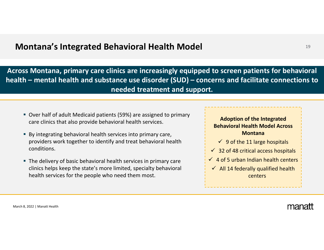### **Montana's** <sup>19</sup> **Integrated Behavioral Health Model**

**Across Montana, primary care clinics are increasingly equipped to screen patients for behavioral health – mental health and substance use disorder (SUD) – concerns and facilitate connections to needed treatment and support.**

- Over half of adult Medicaid patients (59%) are assigned to primary care clinics that also provide behavioral health services.
- By integrating behavioral health services into primary care, providers work together to identify and treat behavioral health conditions.
- The delivery of basic behavioral health services in primary care clinics helps keep the state's more limited, specialty behavioral health services for the people who need them most.

**Adoption of the Integrated Behavioral Health Model Across Montana**

- $\checkmark$  9 of the 11 large hospitals
- $\checkmark$  32 of 48 critical access hospitals
- $\checkmark$  4 of 5 urban Indian health centers
- $\checkmark$  All 14 federally qualified health centers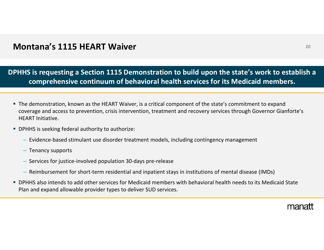## **Montana's 1115 HEART Waiver** <sup>20</sup>

**DPHHS is requesting <sup>a</sup> Section 1115 Demonstration to build upon the state's work to establish <sup>a</sup> comprehensive continuum of behavioral health services for its Medicaid members.**

- The demonstration, known as the HEART Waiver, is <sup>a</sup> critical component of the state's commitment to expand coverage and access to prevention, crisis intervention, treatment and recovery services through Governor Gianforte's HEART Initiative.
- **DPHHS** is seeking federal authority to authorize:
	- Evidence‐based stimulant use disorder treatment models, including contingency management
	- Tenancy supports
	- Services for justice‐involved population 30‐days pre‐release
	- Reimbursement for short‐term residential and inpatient stays in institutions of mental disease (IMDs)
- DPHHS also intends to add other services for Medicaid members with behavioral health needs to its Medicaid State Plan and expand allowable provider types to deliver SUD services.

manal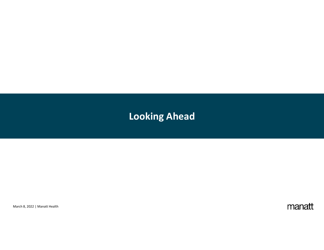# **Looking Ahead**

March 8, 2022 | Manatt Health